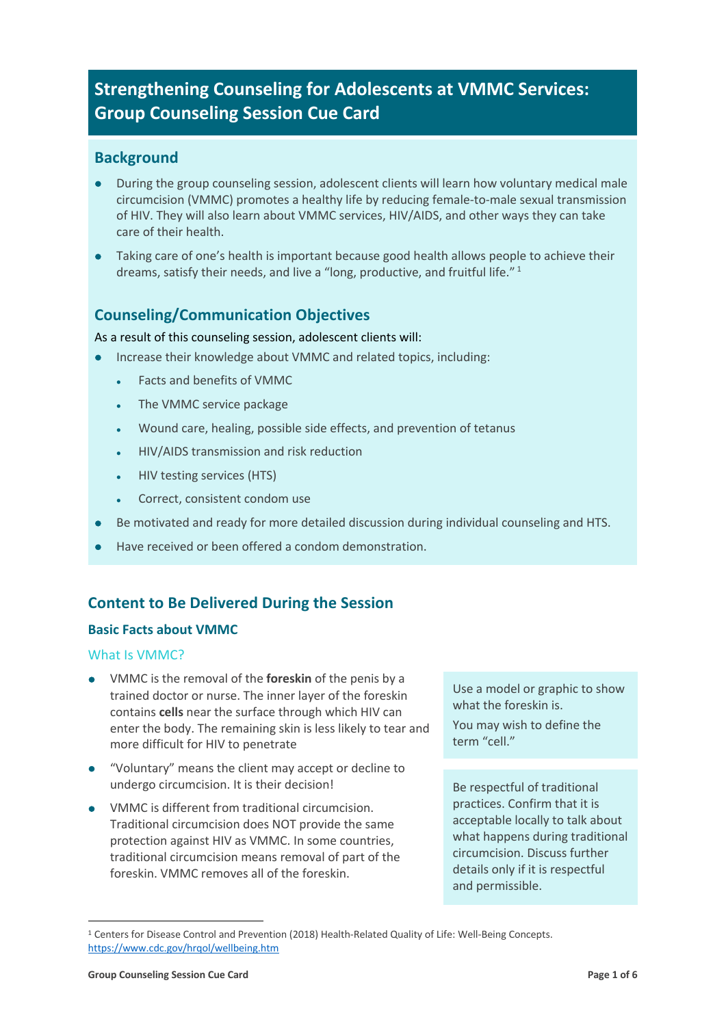# **Strengthening Counseling for Adolescents at VMMC Services: Group Counseling Session Cue Card**

## **Background**

- During the group counseling session, adolescent clients will learn how voluntary medical male circumcision (VMMC) promotes a healthy life by reducing female-to-male sexual transmission of HIV. They will also learn about VMMC services, HIV/AIDS, and other ways they can take care of their health.
- l Taking care of one's health is important because good health allows people to achieve their dreams, satisfy their needs, and live a "long, productive, and fruitful life."<sup>1</sup>

## **Counseling/Communication Objectives**

As a result of this counseling session, adolescent clients will:

- Increase their knowledge about VMMC and related topics, including:
	- Facts and benefits of VMMC
	- The VMMC service package
	- <sup>l</sup> Wound care, healing, possible side effects, and prevention of tetanus
	- **.** HIV/AIDS transmission and risk reduction
	- HIV testing services (HTS)
	- Correct, consistent condom use
- l Be motivated and ready for more detailed discussion during individual counseling and HTS.
- l Have received or been offered a condom demonstration.

## **Content to Be Delivered During the Session**

## **Basic Facts about VMMC**

## What Is VMMC?

- **.** VMMC is the removal of the **foreskin** of the penis by a trained doctor or nurse. The inner layer of the foreskin contains **cells** near the surface through which HIV can enter the body. The remaining skin is less likely to tear and more difficult for HIV to penetrate
- "Voluntary" means the client may accept or decline to undergo circumcision. It is their decision!
- VMMC is different from traditional circumcision. Traditional circumcision does NOT provide the same protection against HIV as VMMC. In some countries, traditional circumcision means removal of part of the foreskin. VMMC removes all of the foreskin.

Use a model or graphic to show what the foreskin is.

You may wish to define the term "cell."

Be respectful of traditional practices. Confirm that it is acceptable locally to talk about what happens during traditional circumcision. Discuss further details only if it is respectful and permissible.

 <sup>1</sup> Centers for Disease Control and Prevention (2018) Health-Related Quality of Life: Well-Being Concepts. https://www.cdc.gov/hrqol/wellbeing.htm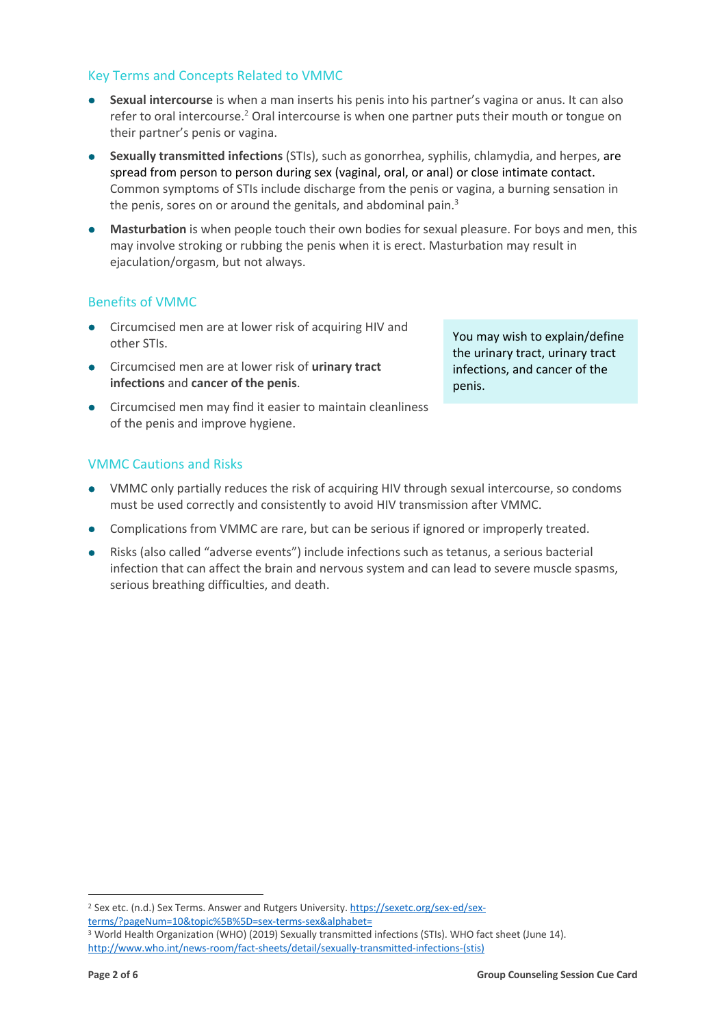## Key Terms and Concepts Related to VMMC

- **.** Sexual intercourse is when a man inserts his penis into his partner's vagina or anus. It can also refer to oral intercourse.2 Oral intercourse is when one partner puts their mouth or tongue on their partner's penis or vagina.
- **•** Sexually transmitted infections (STIs), such as gonorrhea, syphilis, chlamydia, and herpes, are spread from person to person during sex (vaginal, oral, or anal) or close intimate contact. Common symptoms of STIs include discharge from the penis or vagina, a burning sensation in the penis, sores on or around the genitals, and abdominal pain. $3$
- **Masturbation** is when people touch their own bodies for sexual pleasure. For boys and men, this may involve stroking or rubbing the penis when it is erect. Masturbation may result in ejaculation/orgasm, but not always.

## Benefits of VMMC

- Circumcised men are at lower risk of acquiring HIV and other STIs.
- **e** Circumcised men are at lower risk of *urinary tract* **infections** and **cancer of the penis**.

l Circumcised men may find it easier to maintain cleanliness of the penis and improve hygiene.

You may wish to explain/define the urinary tract, urinary tract infections, and cancer of the penis.

## VMMC Cautions and Risks

- VMMC only partially reduces the risk of acquiring HIV through sexual intercourse, so condoms must be used correctly and consistently to avoid HIV transmission after VMMC.
- Complications from VMMC are rare, but can be serious if ignored or improperly treated.
- Risks (also called "adverse events") include infections such as tetanus, a serious bacterial infection that can affect the brain and nervous system and can lead to severe muscle spasms, serious breathing difficulties, and death.

<sup>&</sup>lt;sup>2</sup> Sex etc. (n.d.) Sex Terms. Answer and Rutgers University. https://sexetc.org/sex-ed/sexterms/?pageNum=10&topic%5B%5D=sex-terms-sex&alphabet= <sup>3</sup> World Health Organization (WHO) (2019) Sexually transmitted infections (STIs). WHO fact sheet (June 14).

http://www.who.int/news-room/fact-sheets/detail/sexually-transmitted-infections-(stis)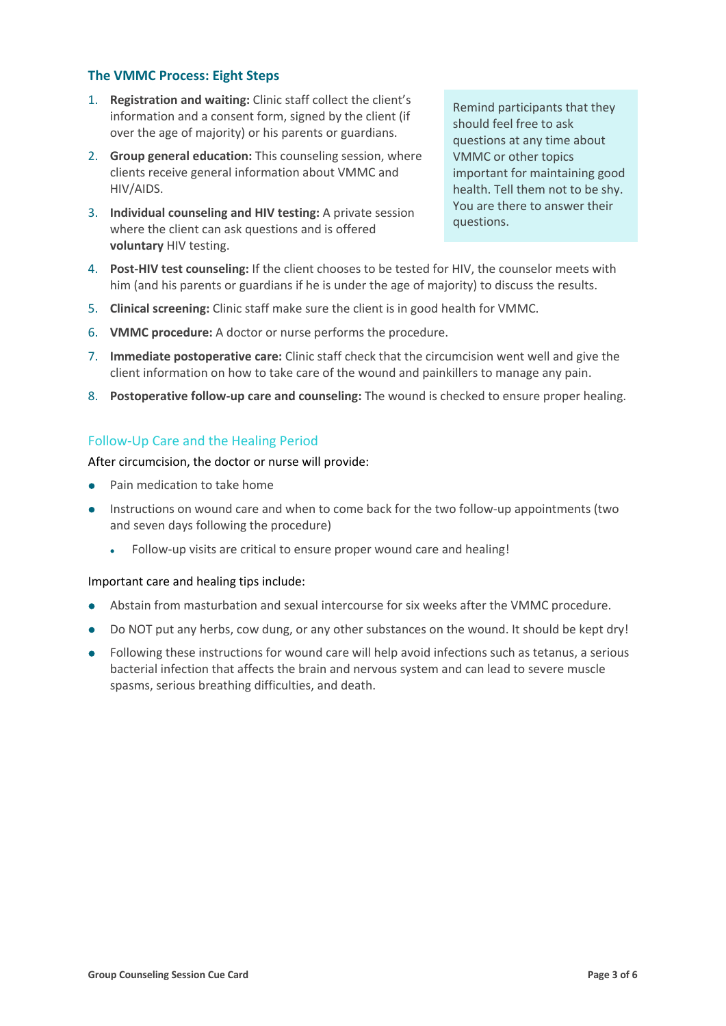## **The VMMC Process: Eight Steps**

- 1. **Registration and waiting:** Clinic staff collect the client's information and a consent form, signed by the client (if over the age of majority) or his parents or guardians.
- 2. **Group general education:** This counseling session, where clients receive general information about VMMC and HIV/AIDS.
- 3. **Individual counseling and HIV testing:** A private session where the client can ask questions and is offered **voluntary** HIV testing.

Remind participants that they should feel free to ask questions at any time about VMMC or other topics important for maintaining good health. Tell them not to be shy. You are there to answer their questions.

- 4. **Post-HIV test counseling:** If the client chooses to be tested for HIV, the counselor meets with him (and his parents or guardians if he is under the age of majority) to discuss the results.
- 5. **Clinical screening:** Clinic staff make sure the client is in good health for VMMC.
- 6. **VMMC procedure:** A doctor or nurse performs the procedure.
- 7. **Immediate postoperative care:** Clinic staff check that the circumcision went well and give the client information on how to take care of the wound and painkillers to manage any pain.
- 8. **Postoperative follow-up care and counseling:** The wound is checked to ensure proper healing.

## Follow-Up Care and the Healing Period

After circumcision, the doctor or nurse will provide:

- Pain medication to take home
- Instructions on wound care and when to come back for the two follow-up appointments (two and seven days following the procedure)
	- Follow-up visits are critical to ensure proper wound care and healing!

#### Important care and healing tips include:

- Abstain from masturbation and sexual intercourse for six weeks after the VMMC procedure.
- Do NOT put any herbs, cow dung, or any other substances on the wound. It should be kept dry!
- Following these instructions for wound care will help avoid infections such as tetanus, a serious bacterial infection that affects the brain and nervous system and can lead to severe muscle spasms, serious breathing difficulties, and death.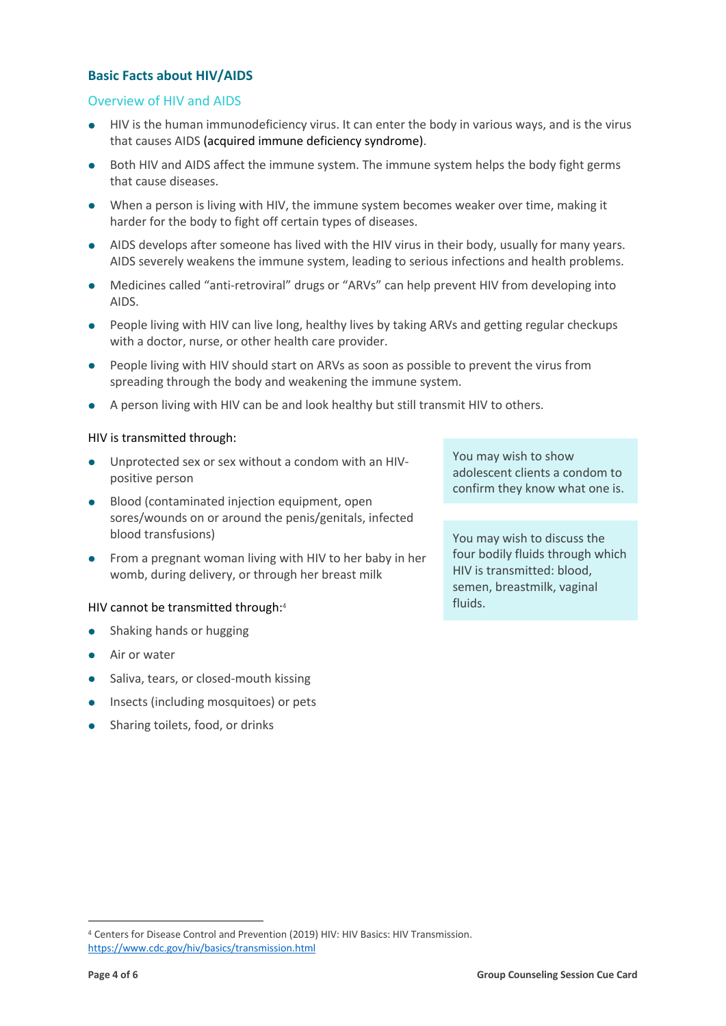## **Basic Facts about HIV/AIDS**

## Overview of HIV and AIDS

- l HIV is the human immunodeficiency virus. It can enter the body in various ways, and is the virus that causes AIDS (acquired immune deficiency syndrome).
- l Both HIV and AIDS affect the immune system. The immune system helps the body fight germs that cause diseases.
- When a person is living with HIV, the immune system becomes weaker over time, making it harder for the body to fight off certain types of diseases.
- AIDS develops after someone has lived with the HIV virus in their body, usually for many years. AIDS severely weakens the immune system, leading to serious infections and health problems.
- Medicines called "anti-retroviral" drugs or "ARVs" can help prevent HIV from developing into AIDS.
- People living with HIV can live long, healthy lives by taking ARVs and getting regular checkups with a doctor, nurse, or other health care provider.
- People living with HIV should start on ARVs as soon as possible to prevent the virus from spreading through the body and weakening the immune system.
- A person living with HIV can be and look healthy but still transmit HIV to others.

## HIV is transmitted through:

- l Unprotected sex or sex without a condom with an HIVpositive person
- Blood (contaminated injection equipment, open sores/wounds on or around the penis/genitals, infected blood transfusions)
- **•** From a pregnant woman living with HIV to her baby in her womb, during delivery, or through her breast milk

## HIV cannot be transmitted through:<sup>4</sup>

- Shaking hands or hugging
- $\bullet$  Air or water
- Saliva, tears, or closed-mouth kissing
- Insects (including mosquitoes) or pets
- Sharing toilets, food, or drinks

You may wish to show adolescent clients a condom to confirm they know what one is.

You may wish to discuss the four bodily fluids through which HIV is transmitted: blood, semen, breastmilk, vaginal fluids.

 <sup>4</sup> Centers for Disease Control and Prevention (2019) HIV: HIV Basics: HIV Transmission. https://www.cdc.gov/hiv/basics/transmission.html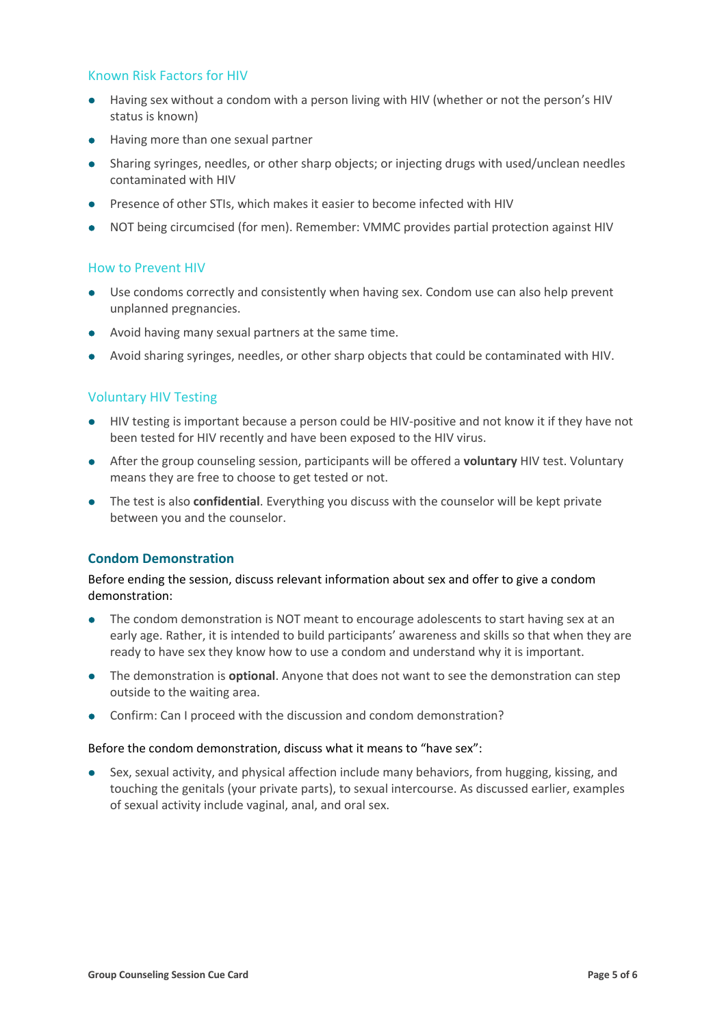## Known Risk Factors for HIV

- Having sex without a condom with a person living with HIV (whether or not the person's HIV status is known)
- Having more than one sexual partner
- Sharing syringes, needles, or other sharp objects; or injecting drugs with used/unclean needles contaminated with HIV
- l Presence of other STIs, which makes it easier to become infected with HIV
- NOT being circumcised (for men). Remember: VMMC provides partial protection against HIV

#### How to Prevent HIV

- Use condoms correctly and consistently when having sex. Condom use can also help prevent unplanned pregnancies.
- Avoid having many sexual partners at the same time.
- l Avoid sharing syringes, needles, or other sharp objects that could be contaminated with HIV.

## Voluntary HIV Testing

- HIV testing is important because a person could be HIV-positive and not know it if they have not been tested for HIV recently and have been exposed to the HIV virus.
- l After the group counseling session, participants will be offered a **voluntary** HIV test. Voluntary means they are free to choose to get tested or not.
- **•** The test is also **confidential**. Everything you discuss with the counselor will be kept private between you and the counselor.

## **Condom Demonstration**

Before ending the session, discuss relevant information about sex and offer to give a condom demonstration:

- The condom demonstration is NOT meant to encourage adolescents to start having sex at an early age. Rather, it is intended to build participants' awareness and skills so that when they are ready to have sex they know how to use a condom and understand why it is important.
- **•** The demonstration is **optional**. Anyone that does not want to see the demonstration can step outside to the waiting area.
- Confirm: Can I proceed with the discussion and condom demonstration?

#### Before the condom demonstration, discuss what it means to "have sex":

• Sex, sexual activity, and physical affection include many behaviors, from hugging, kissing, and touching the genitals (your private parts), to sexual intercourse. As discussed earlier, examples of sexual activity include vaginal, anal, and oral sex.